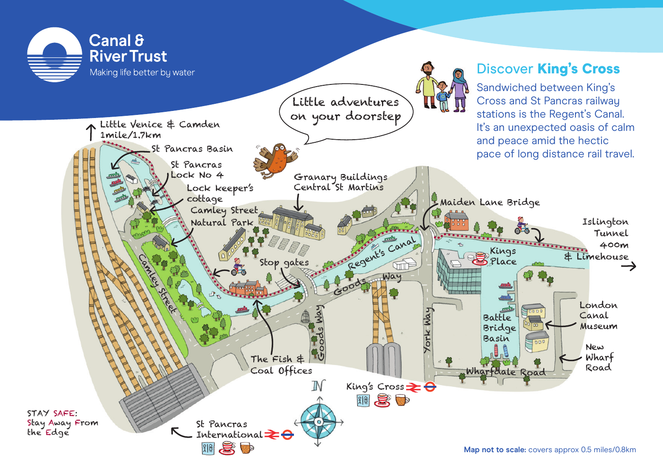